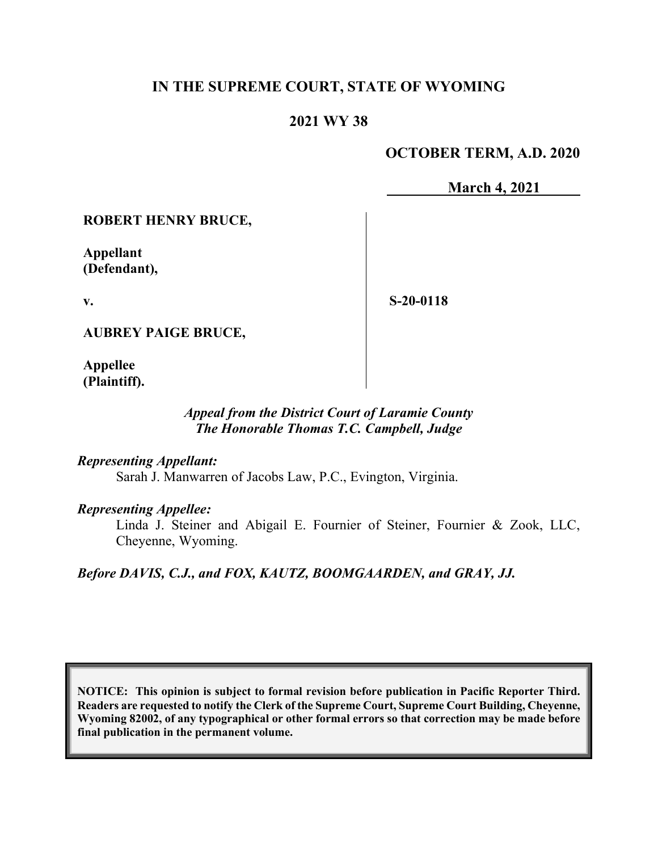## **IN THE SUPREME COURT, STATE OF WYOMING**

## **2021 WY 38**

## **OCTOBER TERM, A.D. 2020**

**March 4, 2021**

### **ROBERT HENRY BRUCE,**

**Appellant (Defendant),**

**v.**

**S-20-0118**

**AUBREY PAIGE BRUCE,**

**Appellee (Plaintiff).**

## *Appeal from the District Court of Laramie County The Honorable Thomas T.C. Campbell, Judge*

*Representing Appellant:*

Sarah J. Manwarren of Jacobs Law, P.C., Evington, Virginia.

*Representing Appellee:*

Linda J. Steiner and Abigail E. Fournier of Steiner, Fournier & Zook, LLC, Cheyenne, Wyoming.

*Before DAVIS, C.J., and FOX, KAUTZ, BOOMGAARDEN, and GRAY, JJ.*

**NOTICE: This opinion is subject to formal revision before publication in Pacific Reporter Third. Readers are requested to notify the Clerk of the Supreme Court, Supreme Court Building, Cheyenne, Wyoming 82002, of any typographical or other formal errors so that correction may be made before final publication in the permanent volume.**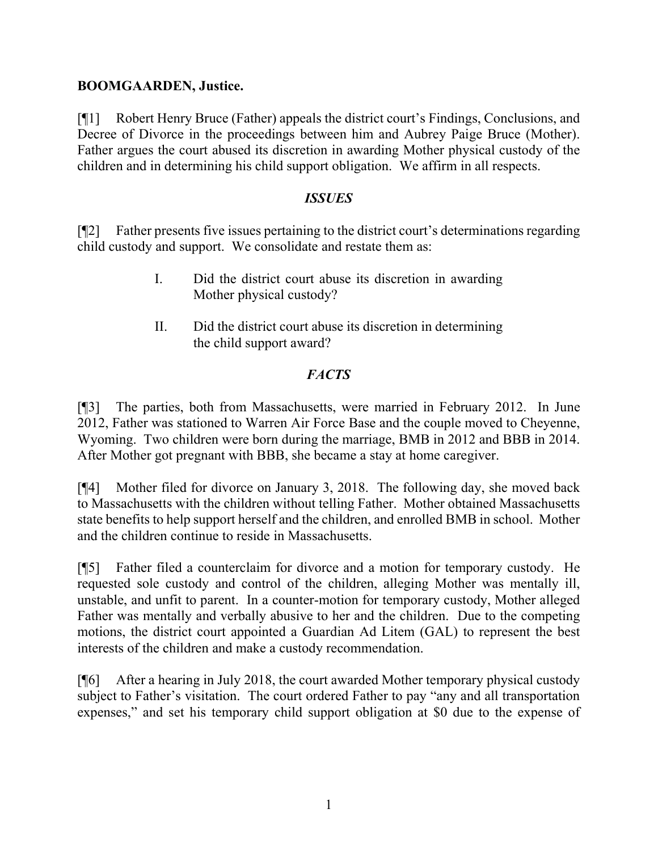### **BOOMGAARDEN, Justice.**

[¶1] Robert Henry Bruce (Father) appeals the district court's Findings, Conclusions, and Decree of Divorce in the proceedings between him and Aubrey Paige Bruce (Mother). Father argues the court abused its discretion in awarding Mother physical custody of the children and in determining his child support obligation. We affirm in all respects.

### *ISSUES*

[¶2] Father presents five issues pertaining to the district court's determinations regarding child custody and support. We consolidate and restate them as:

- I. Did the district court abuse its discretion in awarding Mother physical custody?
- II. Did the district court abuse its discretion in determining the child support award?

## *FACTS*

[¶3] The parties, both from Massachusetts, were married in February 2012. In June 2012, Father was stationed to Warren Air Force Base and the couple moved to Cheyenne, Wyoming. Two children were born during the marriage, BMB in 2012 and BBB in 2014. After Mother got pregnant with BBB, she became a stay at home caregiver.

[¶4] Mother filed for divorce on January 3, 2018. The following day, she moved back to Massachusetts with the children without telling Father. Mother obtained Massachusetts state benefits to help support herself and the children, and enrolled BMB in school. Mother and the children continue to reside in Massachusetts.

[¶5] Father filed a counterclaim for divorce and a motion for temporary custody. He requested sole custody and control of the children, alleging Mother was mentally ill, unstable, and unfit to parent. In a counter-motion for temporary custody, Mother alleged Father was mentally and verbally abusive to her and the children. Due to the competing motions, the district court appointed a Guardian Ad Litem (GAL) to represent the best interests of the children and make a custody recommendation.

[¶6] After a hearing in July 2018, the court awarded Mother temporary physical custody subject to Father's visitation. The court ordered Father to pay "any and all transportation expenses," and set his temporary child support obligation at \$0 due to the expense of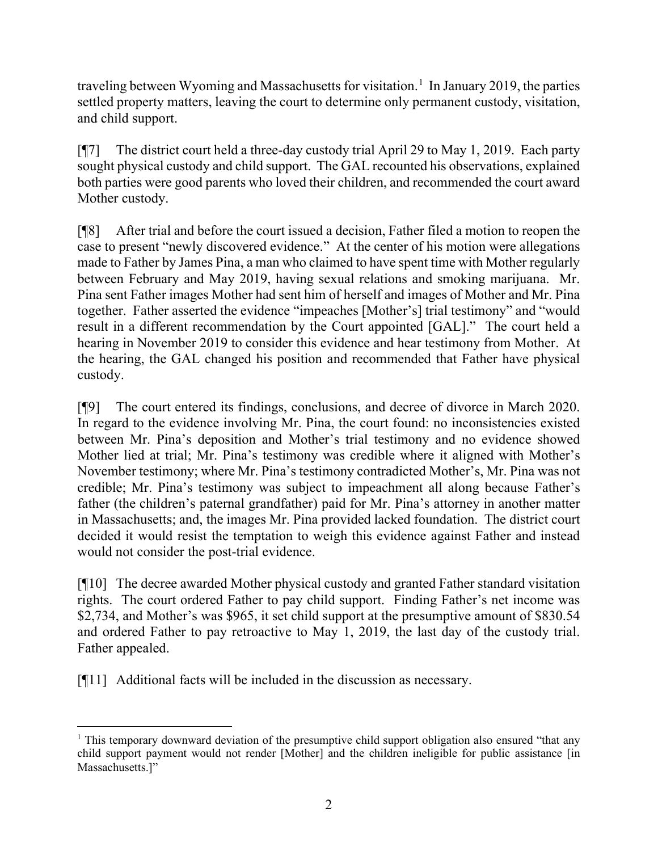traveling between Wyoming and Massachusetts for visitation.<sup>[1](#page-2-0)</sup> In January 2019, the parties settled property matters, leaving the court to determine only permanent custody, visitation, and child support.

[¶7] The district court held a three-day custody trial April 29 to May 1, 2019. Each party sought physical custody and child support. The GAL recounted his observations, explained both parties were good parents who loved their children, and recommended the court award Mother custody.

[¶8] After trial and before the court issued a decision, Father filed a motion to reopen the case to present "newly discovered evidence." At the center of his motion were allegations made to Father by James Pina, a man who claimed to have spent time with Mother regularly between February and May 2019, having sexual relations and smoking marijuana. Mr. Pina sent Father images Mother had sent him of herself and images of Mother and Mr. Pina together. Father asserted the evidence "impeaches [Mother's] trial testimony" and "would result in a different recommendation by the Court appointed [GAL]." The court held a hearing in November 2019 to consider this evidence and hear testimony from Mother. At the hearing, the GAL changed his position and recommended that Father have physical custody.

[¶9] The court entered its findings, conclusions, and decree of divorce in March 2020. In regard to the evidence involving Mr. Pina, the court found: no inconsistencies existed between Mr. Pina's deposition and Mother's trial testimony and no evidence showed Mother lied at trial; Mr. Pina's testimony was credible where it aligned with Mother's November testimony; where Mr. Pina's testimony contradicted Mother's, Mr. Pina was not credible; Mr. Pina's testimony was subject to impeachment all along because Father's father (the children's paternal grandfather) paid for Mr. Pina's attorney in another matter in Massachusetts; and, the images Mr. Pina provided lacked foundation. The district court decided it would resist the temptation to weigh this evidence against Father and instead would not consider the post-trial evidence.

[¶10] The decree awarded Mother physical custody and granted Father standard visitation rights. The court ordered Father to pay child support. Finding Father's net income was \$2,734, and Mother's was \$965, it set child support at the presumptive amount of \$830.54 and ordered Father to pay retroactive to May 1, 2019, the last day of the custody trial. Father appealed.

[¶11] Additional facts will be included in the discussion as necessary.

<span id="page-2-0"></span><sup>&</sup>lt;sup>1</sup> This temporary downward deviation of the presumptive child support obligation also ensured "that any child support payment would not render [Mother] and the children ineligible for public assistance [in Massachusetts.]"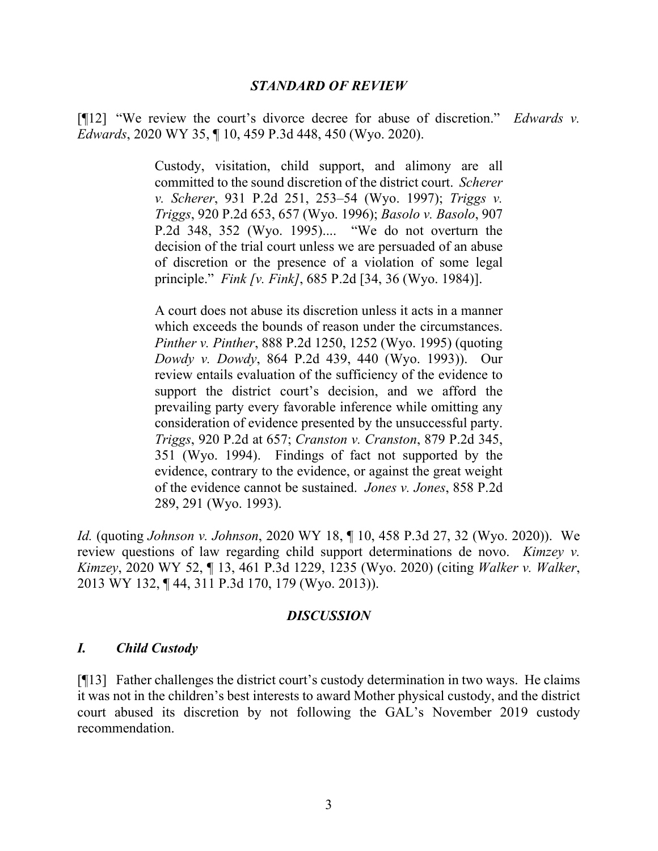#### *STANDARD OF REVIEW*

[¶12] "We review the court's divorce decree for abuse of discretion." *Edwards v. Edwards*, 2020 WY 35, ¶ 10, 459 P.3d 448, 450 (Wyo. 2020).

> Custody, visitation, child support, and alimony are all committed to the sound discretion of the district court. *Scherer v. Scherer*, 931 P.2d 251, 253–54 (Wyo. 1997); *Triggs v. Triggs*, 920 P.2d 653, 657 (Wyo. 1996); *Basolo v. Basolo*, 907 P.2d 348, 352 (Wyo. 1995).... "We do not overturn the decision of the trial court unless we are persuaded of an abuse of discretion or the presence of a violation of some legal principle." *Fink [v. Fink]*, 685 P.2d [34, 36 (Wyo. 1984)].

> A court does not abuse its discretion unless it acts in a manner which exceeds the bounds of reason under the circumstances. *Pinther v. Pinther*, 888 P.2d 1250, 1252 (Wyo. 1995) (quoting *Dowdy v. Dowdy*, 864 P.2d 439, 440 (Wyo. 1993)). Our review entails evaluation of the sufficiency of the evidence to support the district court's decision, and we afford the prevailing party every favorable inference while omitting any consideration of evidence presented by the unsuccessful party. *Triggs*, 920 P.2d at 657; *Cranston v. Cranston*, 879 P.2d 345, 351 (Wyo. 1994). Findings of fact not supported by the evidence, contrary to the evidence, or against the great weight of the evidence cannot be sustained. *Jones v. Jones*, 858 P.2d 289, 291 (Wyo. 1993).

*Id.* (quoting *Johnson v. Johnson*, 2020 WY 18, ¶ 10, 458 P.3d 27, 32 (Wyo. 2020)). We review questions of law regarding child support determinations de novo. *Kimzey v. Kimzey*, 2020 WY 52, ¶ 13, 461 P.3d 1229, 1235 (Wyo. 2020) (citing *Walker v. Walker*, 2013 WY 132, ¶ 44, 311 P.3d 170, 179 (Wyo. 2013)).

#### *DISCUSSION*

#### *I. Child Custody*

[¶13] Father challenges the district court's custody determination in two ways. He claims it was not in the children's best interests to award Mother physical custody, and the district court abused its discretion by not following the GAL's November 2019 custody recommendation.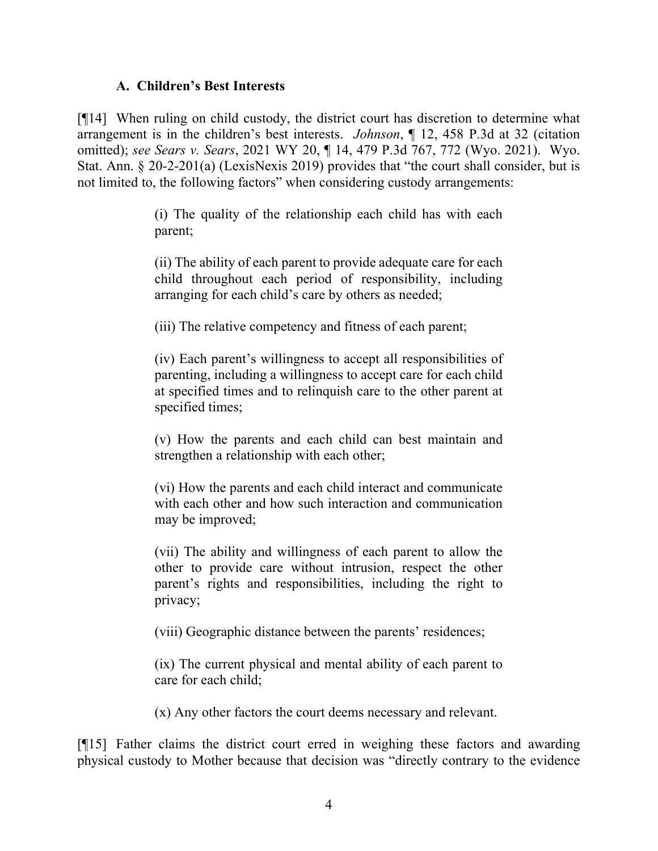### **A. Children's Best Interests**

[¶14] When ruling on child custody, the district court has discretion to determine what arrangement is in the children's best interests. *Johnson*, ¶ 12, 458 P.3d at 32 (citation omitted); *see Sears v. Sears*, 2021 WY 20, ¶ 14, 479 P.3d 767, 772 (Wyo. 2021). Wyo. Stat. Ann. § 20-2-201(a) (LexisNexis 2019) provides that "the court shall consider, but is not limited to, the following factors" when considering custody arrangements:

> (i) The quality of the relationship each child has with each parent;

> (ii) The ability of each parent to provide adequate care for each child throughout each period of responsibility, including arranging for each child's care by others as needed;

(iii) The relative competency and fitness of each parent;

(iv) Each parent's willingness to accept all responsibilities of parenting, including a willingness to accept care for each child at specified times and to relinquish care to the other parent at specified times;

(v) How the parents and each child can best maintain and strengthen a relationship with each other;

(vi) How the parents and each child interact and communicate with each other and how such interaction and communication may be improved;

(vii) The ability and willingness of each parent to allow the other to provide care without intrusion, respect the other parent's rights and responsibilities, including the right to privacy;

(viii) Geographic distance between the parents' residences;

(ix) The current physical and mental ability of each parent to care for each child;

(x) Any other factors the court deems necessary and relevant.

[¶15] Father claims the district court erred in weighing these factors and awarding physical custody to Mother because that decision was "directly contrary to the evidence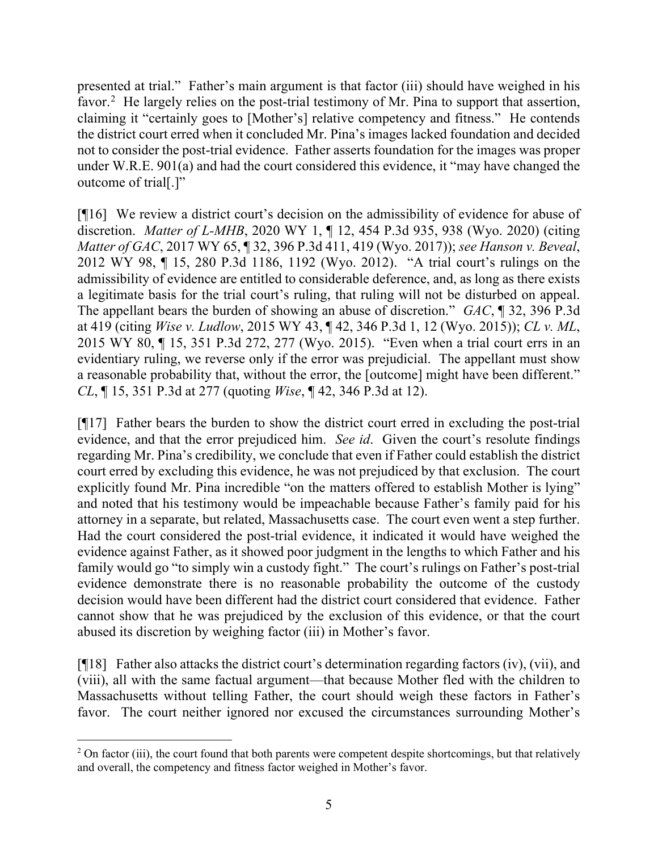presented at trial." Father's main argument is that factor (iii) should have weighed in his favor.<sup>[2](#page-5-0)</sup> He largely relies on the post-trial testimony of Mr. Pina to support that assertion, claiming it "certainly goes to [Mother's] relative competency and fitness." He contends the district court erred when it concluded Mr. Pina's images lacked foundation and decided not to consider the post-trial evidence. Father asserts foundation for the images was proper under W.R.E. 901(a) and had the court considered this evidence, it "may have changed the outcome of trial[.]"

[¶16] We review a district court's decision on the admissibility of evidence for abuse of discretion. *Matter of L-MHB*, 2020 WY 1, ¶ 12, 454 P.3d 935, 938 (Wyo. 2020) (citing *Matter of GAC*, 2017 WY 65, ¶ 32, 396 P.3d 411, 419 (Wyo. 2017)); *see Hanson v. Beveal*, 2012 WY 98, ¶ 15, 280 P.3d 1186, 1192 (Wyo. 2012). "A trial court's rulings on the admissibility of evidence are entitled to considerable deference, and, as long as there exists a legitimate basis for the trial court's ruling, that ruling will not be disturbed on appeal. The appellant bears the burden of showing an abuse of discretion." *GAC*, ¶ 32, 396 P.3d at 419 (citing *Wise v. Ludlow*, 2015 WY 43, ¶ 42, 346 P.3d 1, 12 (Wyo. 2015)); *CL v. ML*, 2015 WY 80, ¶ 15, 351 P.3d 272, 277 (Wyo. 2015). "Even when a trial court errs in an evidentiary ruling, we reverse only if the error was prejudicial. The appellant must show a reasonable probability that, without the error, the [outcome] might have been different." *CL*, ¶ 15, 351 P.3d at 277 (quoting *Wise*, ¶ 42, 346 P.3d at 12).

[¶17] Father bears the burden to show the district court erred in excluding the post-trial evidence, and that the error prejudiced him. *See id*. Given the court's resolute findings regarding Mr. Pina's credibility, we conclude that even if Father could establish the district court erred by excluding this evidence, he was not prejudiced by that exclusion. The court explicitly found Mr. Pina incredible "on the matters offered to establish Mother is lying" and noted that his testimony would be impeachable because Father's family paid for his attorney in a separate, but related, Massachusetts case. The court even went a step further. Had the court considered the post-trial evidence, it indicated it would have weighed the evidence against Father, as it showed poor judgment in the lengths to which Father and his family would go "to simply win a custody fight." The court's rulings on Father's post-trial evidence demonstrate there is no reasonable probability the outcome of the custody decision would have been different had the district court considered that evidence. Father cannot show that he was prejudiced by the exclusion of this evidence, or that the court abused its discretion by weighing factor (iii) in Mother's favor.

[¶18] Father also attacks the district court's determination regarding factors (iv), (vii), and (viii), all with the same factual argument—that because Mother fled with the children to Massachusetts without telling Father, the court should weigh these factors in Father's favor. The court neither ignored nor excused the circumstances surrounding Mother's

<span id="page-5-0"></span> $2$  On factor (iii), the court found that both parents were competent despite shortcomings, but that relatively and overall, the competency and fitness factor weighed in Mother's favor.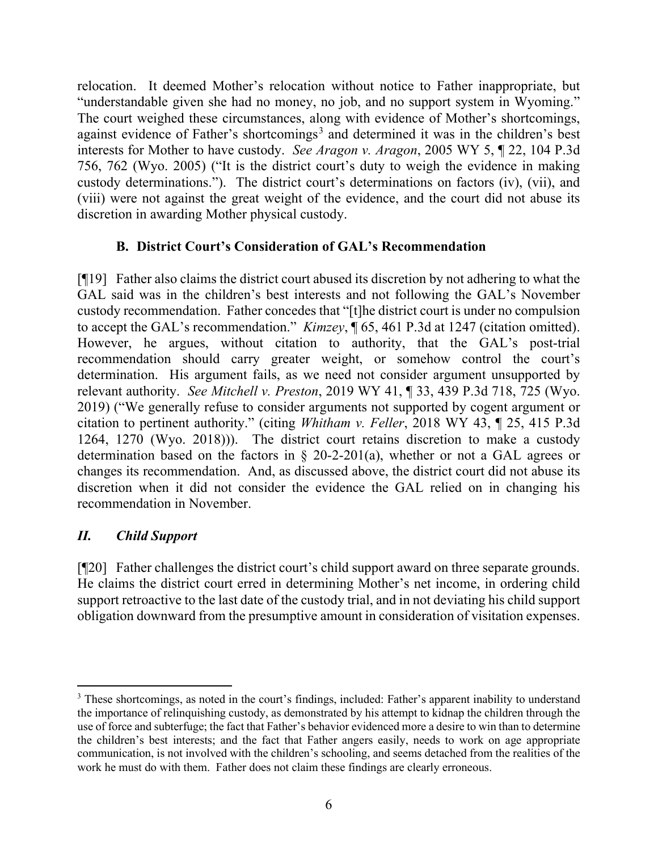relocation. It deemed Mother's relocation without notice to Father inappropriate, but "understandable given she had no money, no job, and no support system in Wyoming." The court weighed these circumstances, along with evidence of Mother's shortcomings, against evidence of Father's shortcomings<sup>[3](#page-6-0)</sup> and determined it was in the children's best interests for Mother to have custody. *See Aragon v. Aragon*, 2005 WY 5, ¶ 22, 104 P.3d 756, 762 (Wyo. 2005) ("It is the district court's duty to weigh the evidence in making custody determinations."). The district court's determinations on factors (iv), (vii), and (viii) were not against the great weight of the evidence, and the court did not abuse its discretion in awarding Mother physical custody.

## **B. District Court's Consideration of GAL's Recommendation**

[¶19] Father also claims the district court abused its discretion by not adhering to what the GAL said was in the children's best interests and not following the GAL's November custody recommendation. Father concedes that "[t]he district court is under no compulsion to accept the GAL's recommendation." *Kimzey*, ¶ 65, 461 P.3d at 1247 (citation omitted). However, he argues, without citation to authority, that the GAL's post-trial recommendation should carry greater weight, or somehow control the court's determination. His argument fails, as we need not consider argument unsupported by relevant authority. *See Mitchell v. Preston*, 2019 WY 41, ¶ 33, 439 P.3d 718, 725 (Wyo. 2019) ("We generally refuse to consider arguments not supported by cogent argument or citation to pertinent authority." (citing *Whitham v. Feller*, 2018 WY 43, ¶ 25, 415 P.3d 1264, 1270 (Wyo. 2018))). The district court retains discretion to make a custody determination based on the factors in § 20-2-201(a), whether or not a GAL agrees or changes its recommendation. And, as discussed above, the district court did not abuse its discretion when it did not consider the evidence the GAL relied on in changing his recommendation in November.

## *II. Child Support*

[¶20] Father challenges the district court's child support award on three separate grounds. He claims the district court erred in determining Mother's net income, in ordering child support retroactive to the last date of the custody trial, and in not deviating his child support obligation downward from the presumptive amount in consideration of visitation expenses.

<span id="page-6-0"></span><sup>&</sup>lt;sup>3</sup> These shortcomings, as noted in the court's findings, included: Father's apparent inability to understand the importance of relinquishing custody, as demonstrated by his attempt to kidnap the children through the use of force and subterfuge; the fact that Father's behavior evidenced more a desire to win than to determine the children's best interests; and the fact that Father angers easily, needs to work on age appropriate communication, is not involved with the children's schooling, and seems detached from the realities of the work he must do with them. Father does not claim these findings are clearly erroneous.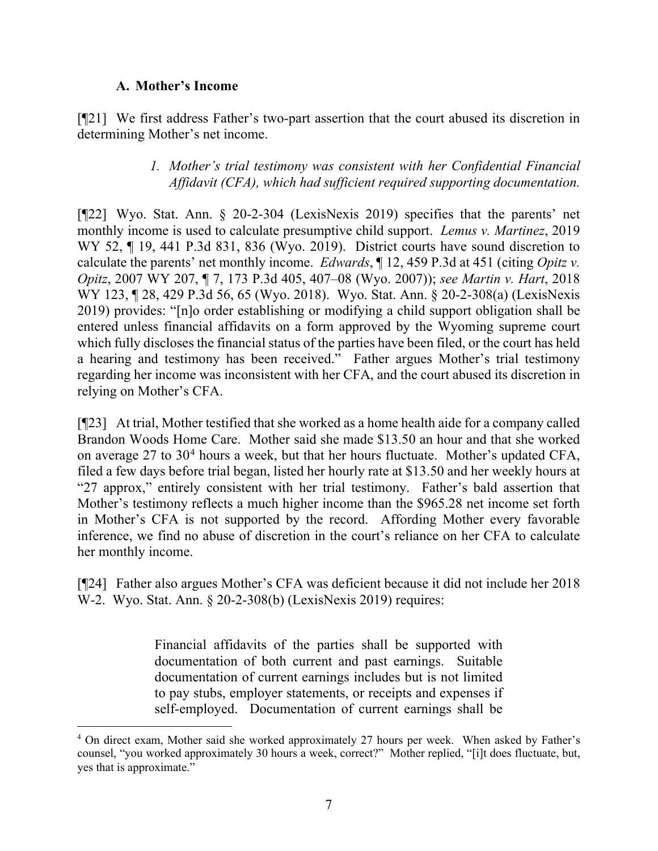## **A. Mother's Income**

[¶21] We first address Father's two-part assertion that the court abused its discretion in determining Mother's net income.

## *1. Mother's trial testimony was consistent with her Confidential Financial Affidavit (CFA), which had sufficient required supporting documentation.*

[¶22] Wyo. Stat. Ann. § 20-2-304 (LexisNexis 2019) specifies that the parents' net monthly income is used to calculate presumptive child support. *Lemus v. Martinez*, 2019 WY 52, ¶ 19, 441 P.3d 831, 836 (Wyo. 2019). District courts have sound discretion to calculate the parents' net monthly income. *Edwards*, ¶ 12, 459 P.3d at 451 (citing *Opitz v. Opitz*, 2007 WY 207, ¶ 7, 173 P.3d 405, 407–08 (Wyo. 2007)); *see Martin v. Hart*, 2018 WY 123, ¶ 28, 429 P.3d 56, 65 (Wyo. 2018). Wyo. Stat. Ann. § 20-2-308(a) (LexisNexis 2019) provides: "[n]o order establishing or modifying a child support obligation shall be entered unless financial affidavits on a form approved by the Wyoming supreme court which fully discloses the financial status of the parties have been filed, or the court has held a hearing and testimony has been received." Father argues Mother's trial testimony regarding her income was inconsistent with her CFA, and the court abused its discretion in relying on Mother's CFA.

[¶23] At trial, Mother testified that she worked as a home health aide for a company called Brandon Woods Home Care. Mother said she made \$13.50 an hour and that she worked on average  $27$  to  $30<sup>4</sup>$  $30<sup>4</sup>$  $30<sup>4</sup>$  hours a week, but that her hours fluctuate. Mother's updated CFA, filed a few days before trial began, listed her hourly rate at \$13.50 and her weekly hours at "27 approx," entirely consistent with her trial testimony. Father's bald assertion that Mother's testimony reflects a much higher income than the \$965.28 net income set forth in Mother's CFA is not supported by the record. Affording Mother every favorable inference, we find no abuse of discretion in the court's reliance on her CFA to calculate her monthly income.

[¶24] Father also argues Mother's CFA was deficient because it did not include her 2018 W-2. Wyo. Stat. Ann. § 20-2-308(b) (LexisNexis 2019) requires:

> Financial affidavits of the parties shall be supported with documentation of both current and past earnings. Suitable documentation of current earnings includes but is not limited to pay stubs, employer statements, or receipts and expenses if self-employed. Documentation of current earnings shall be

<span id="page-7-0"></span><sup>4</sup> On direct exam, Mother said she worked approximately 27 hours per week. When asked by Father's counsel, "you worked approximately 30 hours a week, correct?" Mother replied, "[i]t does fluctuate, but, yes that is approximate."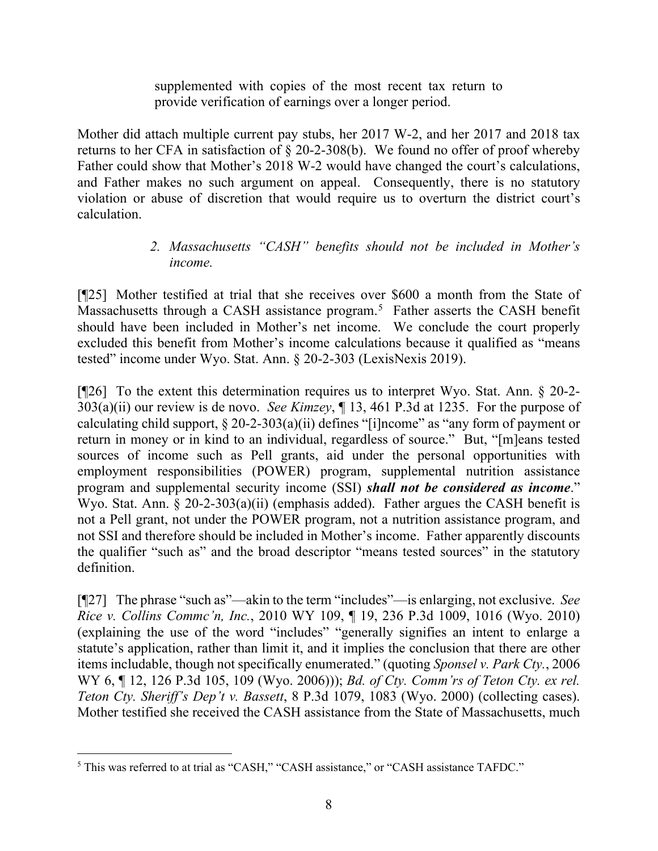supplemented with copies of the most recent tax return to provide verification of earnings over a longer period.

Mother did attach multiple current pay stubs, her 2017 W-2, and her 2017 and 2018 tax returns to her CFA in satisfaction of § 20-2-308(b). We found no offer of proof whereby Father could show that Mother's 2018 W-2 would have changed the court's calculations, and Father makes no such argument on appeal. Consequently, there is no statutory violation or abuse of discretion that would require us to overturn the district court's calculation.

## *2. Massachusetts "CASH" benefits should not be included in Mother's income.*

[¶25] Mother testified at trial that she receives over \$600 a month from the State of Massachusetts through a CASH assistance program.<sup>[5](#page-8-0)</sup> Father asserts the CASH benefit should have been included in Mother's net income. We conclude the court properly excluded this benefit from Mother's income calculations because it qualified as "means tested" income under Wyo. Stat. Ann. § 20-2-303 (LexisNexis 2019).

[¶26] To the extent this determination requires us to interpret Wyo. Stat. Ann. § 20-2-303(a)(ii) our review is de novo. *See Kimzey*, ¶ 13, 461 P.3d at 1235. For the purpose of calculating child support,  $\S 20$ -2-303(a)(ii) defines "[i]ncome" as "any form of payment or return in money or in kind to an individual, regardless of source." But, "[m]eans tested sources of income such as Pell grants, aid under the personal opportunities with employment responsibilities (POWER) program, supplemental nutrition assistance program and supplemental security income (SSI) *shall not be considered as income*." Wyo. Stat. Ann. § 20-2-303(a)(ii) (emphasis added). Father argues the CASH benefit is not a Pell grant, not under the POWER program, not a nutrition assistance program, and not SSI and therefore should be included in Mother's income. Father apparently discounts the qualifier "such as" and the broad descriptor "means tested sources" in the statutory definition.

[¶27] The phrase "such as"—akin to the term "includes"—is enlarging, not exclusive. *See Rice v. Collins Commc'n, Inc.*, 2010 WY 109, ¶ 19, 236 P.3d 1009, 1016 (Wyo. 2010) (explaining the use of the word "includes" "generally signifies an intent to enlarge a statute's application, rather than limit it, and it implies the conclusion that there are other items includable, though not specifically enumerated." (quoting *Sponsel v. Park Cty.*, 2006 WY 6, ¶ 12, 126 P.3d 105, 109 (Wyo. 2006))); *Bd. of Cty. Comm'rs of Teton Cty. ex rel. Teton Cty. Sheriff's Dep't v. Bassett*, 8 P.3d 1079, 1083 (Wyo. 2000) (collecting cases). Mother testified she received the CASH assistance from the State of Massachusetts, much

<span id="page-8-0"></span><sup>5</sup> This was referred to at trial as "CASH," "CASH assistance," or "CASH assistance TAFDC."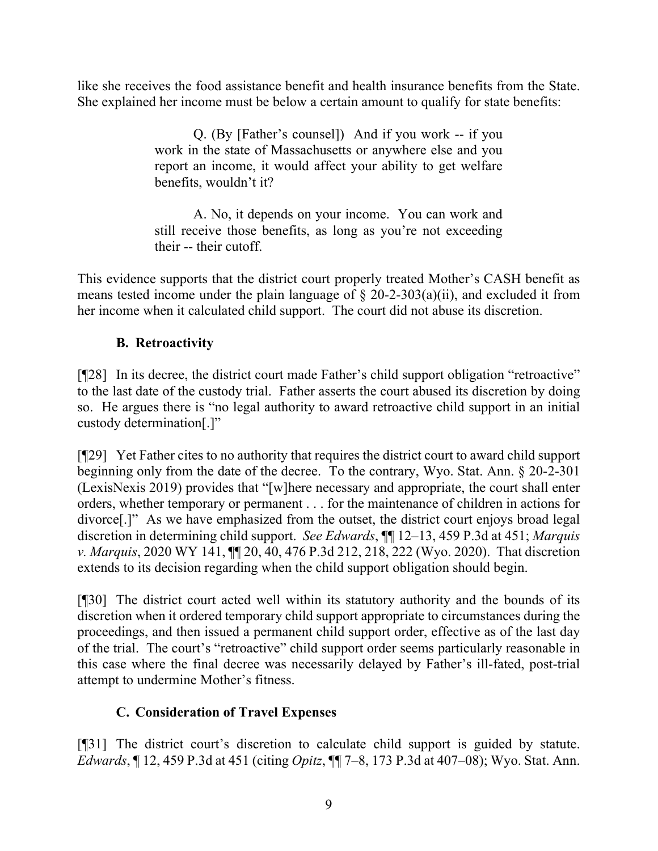like she receives the food assistance benefit and health insurance benefits from the State. She explained her income must be below a certain amount to qualify for state benefits:

> Q. (By [Father's counsel]) And if you work -- if you work in the state of Massachusetts or anywhere else and you report an income, it would affect your ability to get welfare benefits, wouldn't it?

> A. No, it depends on your income. You can work and still receive those benefits, as long as you're not exceeding their -- their cutoff.

This evidence supports that the district court properly treated Mother's CASH benefit as means tested income under the plain language of  $\S$  20-2-303(a)(ii), and excluded it from her income when it calculated child support. The court did not abuse its discretion.

# **B. Retroactivity**

[¶28] In its decree, the district court made Father's child support obligation "retroactive" to the last date of the custody trial. Father asserts the court abused its discretion by doing so. He argues there is "no legal authority to award retroactive child support in an initial custody determination[.]"

[¶29] Yet Father cites to no authority that requires the district court to award child support beginning only from the date of the decree. To the contrary, Wyo. Stat. Ann. § 20-2-301 (LexisNexis 2019) provides that "[w]here necessary and appropriate, the court shall enter orders, whether temporary or permanent . . . for the maintenance of children in actions for divorce[.]" As we have emphasized from the outset, the district court enjoys broad legal discretion in determining child support. *See Edwards*, ¶¶ 12–13, 459 P.3d at 451; *Marquis v. Marquis*, 2020 WY 141, ¶¶ 20, 40, 476 P.3d 212, 218, 222 (Wyo. 2020). That discretion extends to its decision regarding when the child support obligation should begin.

[¶30] The district court acted well within its statutory authority and the bounds of its discretion when it ordered temporary child support appropriate to circumstances during the proceedings, and then issued a permanent child support order, effective as of the last day of the trial. The court's "retroactive" child support order seems particularly reasonable in this case where the final decree was necessarily delayed by Father's ill-fated, post-trial attempt to undermine Mother's fitness.

## **C. Consideration of Travel Expenses**

[¶31] The district court's discretion to calculate child support is guided by statute. *Edwards*, ¶ 12, 459 P.3d at 451 (citing *Opitz*, ¶¶ 7–8, 173 P.3d at 407–08); Wyo. Stat. Ann.